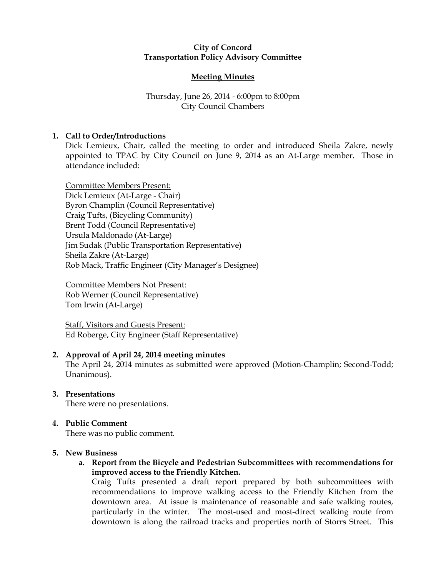#### City of Concord Transportation Policy Advisory Committee

## Meeting Minutes

## Thursday, June 26, 2014 - 6:00pm to 8:00pm City Council Chambers

## 1. Call to Order/Introductions

Dick Lemieux, Chair, called the meeting to order and introduced Sheila Zakre, newly appointed to TPAC by City Council on June 9, 2014 as an At-Large member. Those in attendance included:

Committee Members Present: Dick Lemieux (At-Large - Chair) Byron Champlin (Council Representative) Craig Tufts, (Bicycling Community) Brent Todd (Council Representative) Ursula Maldonado (At-Large) Jim Sudak (Public Transportation Representative) Sheila Zakre (At-Large) Rob Mack, Traffic Engineer (City Manager's Designee)

Committee Members Not Present: Rob Werner (Council Representative) Tom Irwin (At-Large)

Staff, Visitors and Guests Present: Ed Roberge, City Engineer (Staff Representative)

## 2. Approval of April 24, 2014 meeting minutes

The April 24, 2014 minutes as submitted were approved (Motion-Champlin; Second-Todd; Unanimous).

## 3. Presentations

There were no presentations.

## 4. Public Comment

There was no public comment.

#### 5. New Business

a. Report from the Bicycle and Pedestrian Subcommittees with recommendations for improved access to the Friendly Kitchen.

Craig Tufts presented a draft report prepared by both subcommittees with recommendations to improve walking access to the Friendly Kitchen from the downtown area. At issue is maintenance of reasonable and safe walking routes, particularly in the winter. The most-used and most-direct walking route from downtown is along the railroad tracks and properties north of Storrs Street. This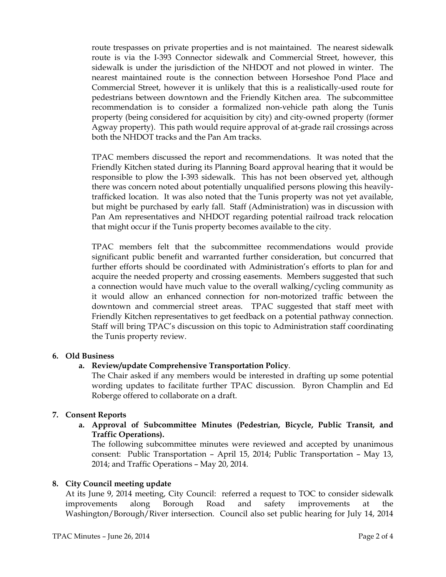route trespasses on private properties and is not maintained. The nearest sidewalk route is via the I-393 Connector sidewalk and Commercial Street, however, this sidewalk is under the jurisdiction of the NHDOT and not plowed in winter. The nearest maintained route is the connection between Horseshoe Pond Place and Commercial Street, however it is unlikely that this is a realistically-used route for pedestrians between downtown and the Friendly Kitchen area. The subcommittee recommendation is to consider a formalized non-vehicle path along the Tunis property (being considered for acquisition by city) and city-owned property (former Agway property). This path would require approval of at-grade rail crossings across both the NHDOT tracks and the Pan Am tracks.

TPAC members discussed the report and recommendations. It was noted that the Friendly Kitchen stated during its Planning Board approval hearing that it would be responsible to plow the I-393 sidewalk. This has not been observed yet, although there was concern noted about potentially unqualified persons plowing this heavilytrafficked location. It was also noted that the Tunis property was not yet available, but might be purchased by early fall. Staff (Administration) was in discussion with Pan Am representatives and NHDOT regarding potential railroad track relocation that might occur if the Tunis property becomes available to the city.

TPAC members felt that the subcommittee recommendations would provide significant public benefit and warranted further consideration, but concurred that further efforts should be coordinated with Administration's efforts to plan for and acquire the needed property and crossing easements. Members suggested that such a connection would have much value to the overall walking/cycling community as it would allow an enhanced connection for non-motorized traffic between the downtown and commercial street areas. TPAC suggested that staff meet with Friendly Kitchen representatives to get feedback on a potential pathway connection. Staff will bring TPAC's discussion on this topic to Administration staff coordinating the Tunis property review.

#### 6. Old Business

## a. Review/update Comprehensive Transportation Policy.

The Chair asked if any members would be interested in drafting up some potential wording updates to facilitate further TPAC discussion. Byron Champlin and Ed Roberge offered to collaborate on a draft.

## 7. Consent Reports

a. Approval of Subcommittee Minutes (Pedestrian, Bicycle, Public Transit, and Traffic Operations).

The following subcommittee minutes were reviewed and accepted by unanimous consent: Public Transportation – April 15, 2014; Public Transportation – May 13, 2014; and Traffic Operations – May 20, 2014.

#### 8. City Council meeting update

At its June 9, 2014 meeting, City Council: referred a request to TOC to consider sidewalk improvements along Borough Road and safety improvements at the Washington/Borough/River intersection. Council also set public hearing for July 14, 2014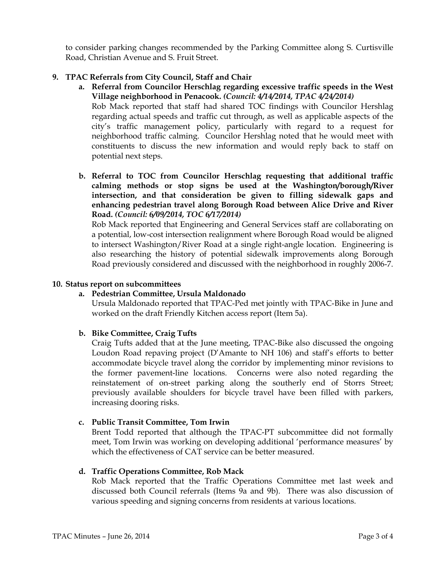to consider parking changes recommended by the Parking Committee along S. Curtisville Road, Christian Avenue and S. Fruit Street.

## 9. TPAC Referrals from City Council, Staff and Chair

a. Referral from Councilor Herschlag regarding excessive traffic speeds in the West Village neighborhood in Penacook. (Council: 4/14/2014, TPAC 4/24/2014)

Rob Mack reported that staff had shared TOC findings with Councilor Hershlag regarding actual speeds and traffic cut through, as well as applicable aspects of the city's traffic management policy, particularly with regard to a request for neighborhood traffic calming. Councilor Hershlag noted that he would meet with constituents to discuss the new information and would reply back to staff on potential next steps.

b. Referral to TOC from Councilor Herschlag requesting that additional traffic calming methods or stop signs be used at the Washington/borough/River intersection, and that consideration be given to filling sidewalk gaps and enhancing pedestrian travel along Borough Road between Alice Drive and River Road. (Council: 6/09/2014, TOC 6/17/2014)

Rob Mack reported that Engineering and General Services staff are collaborating on a potential, low-cost intersection realignment where Borough Road would be aligned to intersect Washington/River Road at a single right-angle location. Engineering is also researching the history of potential sidewalk improvements along Borough Road previously considered and discussed with the neighborhood in roughly 2006-7.

#### 10. Status report on subcommittees

## a. Pedestrian Committee, Ursula Maldonado

Ursula Maldonado reported that TPAC-Ped met jointly with TPAC-Bike in June and worked on the draft Friendly Kitchen access report (Item 5a).

## b. Bike Committee, Craig Tufts

Craig Tufts added that at the June meeting, TPAC-Bike also discussed the ongoing Loudon Road repaving project (D'Amante to NH 106) and staff's efforts to better accommodate bicycle travel along the corridor by implementing minor revisions to the former pavement-line locations. Concerns were also noted regarding the reinstatement of on-street parking along the southerly end of Storrs Street; previously available shoulders for bicycle travel have been filled with parkers, increasing dooring risks.

#### c. Public Transit Committee, Tom Irwin

Brent Todd reported that although the TPAC-PT subcommittee did not formally meet, Tom Irwin was working on developing additional 'performance measures' by which the effectiveness of CAT service can be better measured.

## d. Traffic Operations Committee, Rob Mack

Rob Mack reported that the Traffic Operations Committee met last week and discussed both Council referrals (Items 9a and 9b). There was also discussion of various speeding and signing concerns from residents at various locations.